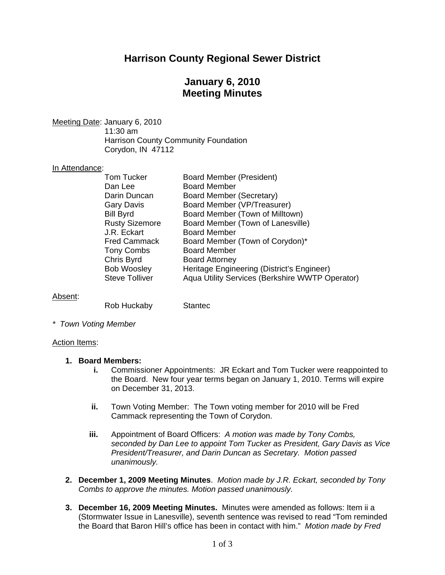# **Harrison County Regional Sewer District**

# **January 6, 2010 Meeting Minutes**

Meeting Date: January 6, 2010

 11:30 am Harrison County Community Foundation Corydon, IN 47112

#### In Attendance:

| <b>Tom Tucker</b>     | <b>Board Member (President)</b>                 |
|-----------------------|-------------------------------------------------|
| Dan Lee               | <b>Board Member</b>                             |
| Darin Duncan          | Board Member (Secretary)                        |
| <b>Gary Davis</b>     | Board Member (VP/Treasurer)                     |
| <b>Bill Byrd</b>      | Board Member (Town of Milltown)                 |
| <b>Rusty Sizemore</b> | Board Member (Town of Lanesville)               |
| J.R. Eckart           | <b>Board Member</b>                             |
| <b>Fred Cammack</b>   | Board Member (Town of Corydon)*                 |
| <b>Tony Combs</b>     | <b>Board Member</b>                             |
| Chris Byrd            | <b>Board Attorney</b>                           |
| <b>Bob Woosley</b>    | Heritage Engineering (District's Engineer)      |
| <b>Steve Tolliver</b> | Aqua Utility Services (Berkshire WWTP Operator) |

## Absent:

Rob Huckaby Stantec

*\* Town Voting Member* 

#### Action Items:

#### **1. Board Members:**

- **i.** Commissioner Appointments: JR Eckart and Tom Tucker were reappointed to the Board. New four year terms began on January 1, 2010. Terms will expire on December 31, 2013.
- **ii.** Town Voting Member: The Town voting member for 2010 will be Fred Cammack representing the Town of Corydon.
- **iii.** Appointment of Board Officers: *A motion was made by Tony Combs, seconded by Dan Lee to appoint Tom Tucker as President, Gary Davis as Vice President/Treasurer, and Darin Duncan as Secretary. Motion passed unanimously.*
- **2. December 1, 2009 Meeting Minutes**. *Motion made by J.R. Eckart, seconded by Tony Combs to approve the minutes. Motion passed unanimously.*
- **3. December 16, 2009 Meeting Minutes.** Minutes were amended as follows: Item ii a (Stormwater Issue in Lanesville), seventh sentence was revised to read "Tom reminded the Board that Baron Hill's office has been in contact with him." *Motion made by Fred*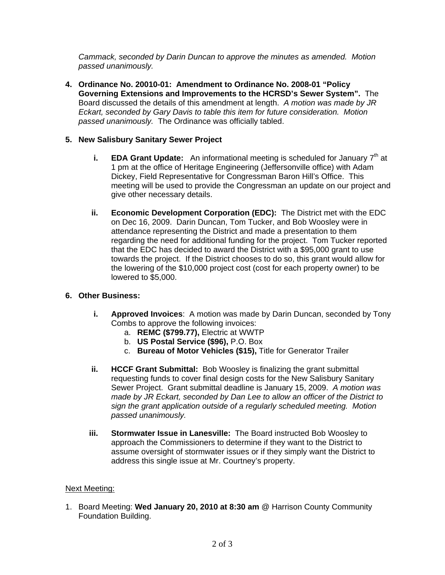*Cammack, seconded by Darin Duncan to approve the minutes as amended. Motion passed unanimously.* 

**4. Ordinance No. 20010-01: Amendment to Ordinance No. 2008-01 "Policy Governing Extensions and Improvements to the HCRSD's Sewer System".** The Board discussed the details of this amendment at length. *A motion was made by JR Eckart, seconded by Gary Davis to table this item for future consideration. Motion passed unanimously.* The Ordinance was officially tabled.

## **5. New Salisbury Sanitary Sewer Project**

- **i. EDA Grant Update:** An informational meeting is scheduled for January 7<sup>th</sup> at 1 pm at the office of Heritage Engineering (Jeffersonville office) with Adam Dickey, Field Representative for Congressman Baron Hill's Office. This meeting will be used to provide the Congressman an update on our project and give other necessary details.
- **ii. Economic Development Corporation (EDC):** The District met with the EDC on Dec 16, 2009. Darin Duncan, Tom Tucker, and Bob Woosley were in attendance representing the District and made a presentation to them regarding the need for additional funding for the project. Tom Tucker reported that the EDC has decided to award the District with a \$95,000 grant to use towards the project. If the District chooses to do so, this grant would allow for the lowering of the \$10,000 project cost (cost for each property owner) to be lowered to \$5,000.

## **6. Other Business:**

- **i. Approved Invoices**: A motion was made by Darin Duncan, seconded by Tony Combs to approve the following invoices:
	- a. **REMC (\$799.77),** Electric at WWTP
	- b. **US Postal Service (\$96),** P.O. Box
	- c. **Bureau of Motor Vehicles (\$15),** Title for Generator Trailer
- **ii.** HCCF Grant Submittal: Bob Woosley is finalizing the grant submittal requesting funds to cover final design costs for the New Salisbury Sanitary Sewer Project. Grant submittal deadline is January 15, 2009. *A motion was made by JR Eckart, seconded by Dan Lee to allow an officer of the District to sign the grant application outside of a regularly scheduled meeting. Motion passed unanimously.*
- **iii. Stormwater Issue in Lanesville:** The Board instructed Bob Woosley to approach the Commissioners to determine if they want to the District to assume oversight of stormwater issues or if they simply want the District to address this single issue at Mr. Courtney's property.

## Next Meeting:

1. Board Meeting: **Wed January 20, 2010 at 8:30 am** @ Harrison County Community Foundation Building.